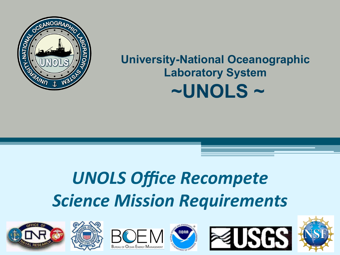

#### **University-National Oceanographic Laboratory System ~UNOLS ~**

# *UNOLS Office Recompete* **Science Mission Requirements**











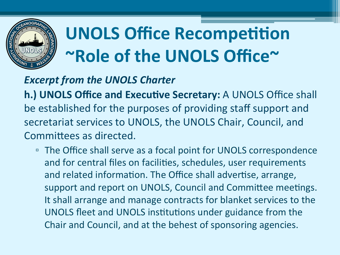

# **UNOLS Office Recompetition ~Role of the UNOLS Office~**

#### **Excerpt from the UNOLS Charter**

**h.) UNOLS Office and Executive Secretary:** A UNOLS Office shall be established for the purposes of providing staff support and secretariat services to UNOLS, the UNOLS Chair, Council, and Committees as directed.

□ The Office shall serve as a focal point for UNOLS correspondence and for central files on facilities, schedules, user requirements and related information. The Office shall advertise, arrange, support and report on UNOLS, Council and Committee meetings. It shall arrange and manage contracts for blanket services to the UNOLS fleet and UNOLS institutions under guidance from the Chair and Council, and at the behest of sponsoring agencies.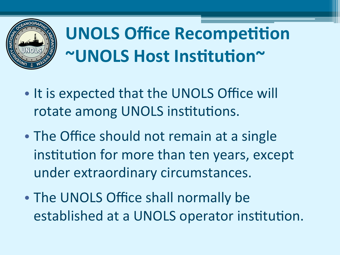

**UNOLS Office Recompetition ~UNOLS Host Institution~** 

- It is expected that the UNOLS Office will rotate among UNOLS institutions.
- The Office should not remain at a single institution for more than ten years, except under extraordinary circumstances.
- The UNOLS Office shall normally be established at a UNOLS operator institution.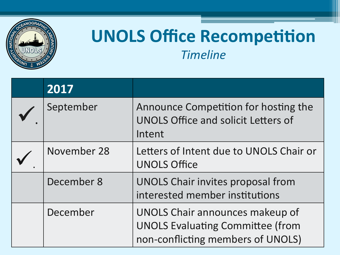

### **UNOLS Office Recompetition** *Timeline*

| 2017        |                                                                                                                 |
|-------------|-----------------------------------------------------------------------------------------------------------------|
| September   | Announce Competition for hosting the<br><b>UNOLS Office and solicit Letters of</b><br>Intent                    |
| November 28 | Letters of Intent due to UNOLS Chair or<br><b>UNOLS Office</b>                                                  |
| December 8  | <b>UNOLS Chair invites proposal from</b><br>interested member institutions                                      |
| December    | UNOLS Chair announces makeup of<br><b>UNOLS Evaluating Committee (from</b><br>non-conflicting members of UNOLS) |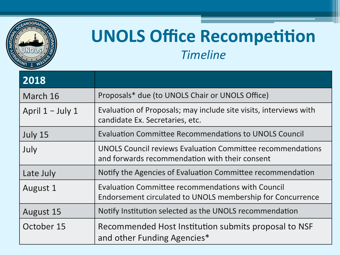

## **UNOLS Office Recompetition** *Timeline*

| 2018               |                                                                                                                     |
|--------------------|---------------------------------------------------------------------------------------------------------------------|
| March 16           | Proposals* due (to UNOLS Chair or UNOLS Office)                                                                     |
| April $1 -$ July 1 | Evaluation of Proposals; may include site visits, interviews with<br>candidate Ex. Secretaries, etc.                |
| July 15            | <b>Evaluation Committee Recommendations to UNOLS Council</b>                                                        |
| July               | <b>UNOLS Council reviews Evaluation Committee recommendations</b><br>and forwards recommendation with their consent |
| Late July          | Notify the Agencies of Evaluation Committee recommendation                                                          |
| August 1           | Evaluation Committee recommendations with Council<br>Endorsement circulated to UNOLS membership for Concurrence     |
| August 15          | Notify Institution selected as the UNOLS recommendation                                                             |
| October 15         | Recommended Host Institution submits proposal to NSF<br>and other Funding Agencies*                                 |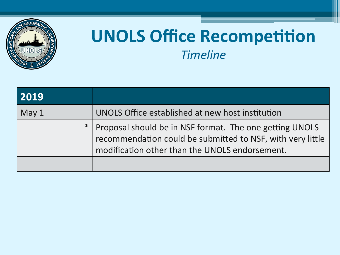

## **UNOLS Office Recompetition** *Timeline*

| 2019             |                                                                                                                                                                             |
|------------------|-----------------------------------------------------------------------------------------------------------------------------------------------------------------------------|
| May <sub>1</sub> | UNOLS Office established at new host institution                                                                                                                            |
|                  | *   Proposal should be in NSF format. The one getting UNOLS<br>recommendation could be submitted to NSF, with very little<br>modification other than the UNOLS endorsement. |
|                  |                                                                                                                                                                             |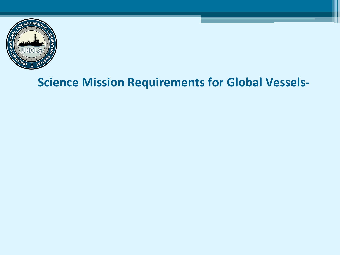

#### **Science Mission Requirements for Global Vessels-**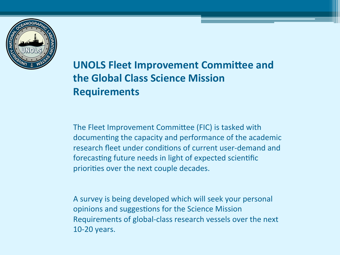

#### **UNOLS Fleet Improvement Committee and the Global Class Science Mission Requirements**

The Fleet Improvement Committee (FIC) is tasked with documenting the capacity and performance of the academic research fleet under conditions of current user-demand and forecasting future needs in light of expected scientific priorities over the next couple decades.

A survey is being developed which will seek your personal opinions and suggestions for the Science Mission Requirements of global-class research vessels over the next 10-20 years.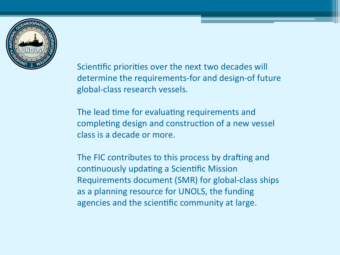

Scientific priorities over the next two decades will determine the requirements-for and design-of future global-class research vessels.

The lead time for evaluating requirements and completing design and construction of a new vessel class is a decade or more.

The FIC contributes to this process by drafting and continuously updating a Scientific Mission Requirements document (SMR) for global-class ships as a planning resource for UNOLS, the funding agencies and the scientific community at large.